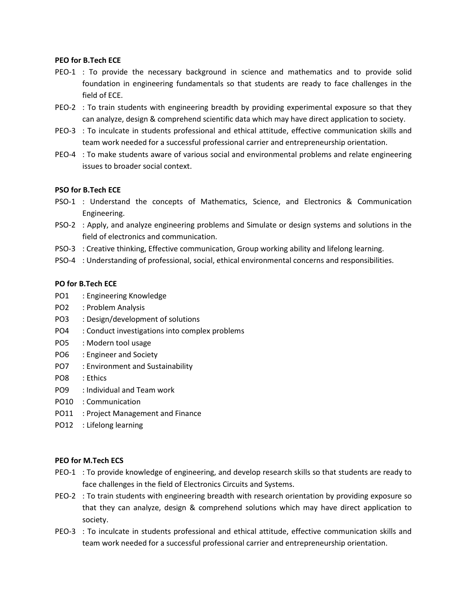### **PEO for B.Tech ECE**

- PEO-1 : To provide the necessary background in science and mathematics and to provide solid foundation in engineering fundamentals so that students are ready to face challenges in the field of ECE.
- PEO-2 : To train students with engineering breadth by providing experimental exposure so that they can analyze, design & comprehend scientific data which may have direct application to society.
- PEO-3 : To inculcate in students professional and ethical attitude, effective communication skills and team work needed for a successful professional carrier and entrepreneurship orientation.
- PEO-4 : To make students aware of various social and environmental problems and relate engineering issues to broader social context.

## **PSO for B.Tech ECE**

- PSO-1 : Understand the concepts of Mathematics, Science, and Electronics & Communication Engineering.
- PSO-2 : Apply, and analyze engineering problems and Simulate or design systems and solutions in the field of electronics and communication.
- PSO-3 : Creative thinking, Effective communication, Group working ability and lifelong learning.
- PSO-4 : Understanding of professional, social, ethical environmental concerns and responsibilities.

### **PO for B.Tech ECE**

- PO1 : Engineering Knowledge
- PO2 : Problem Analysis
- PO3 : Design/development of solutions
- PO4 : Conduct investigations into complex problems
- PO5 : Modern tool usage
- PO6 : Engineer and Society
- PO7 : Environment and Sustainability
- PO8 : Ethics
- PO9 : Individual and Team work
- PO10 : Communication
- PO11 : Project Management and Finance
- PO12 : Lifelong learning

#### **PEO for M.Tech ECS**

- PEO-1 : To provide knowledge of engineering, and develop research skills so that students are ready to face challenges in the field of Electronics Circuits and Systems.
- PEO-2 : To train students with engineering breadth with research orientation by providing exposure so that they can analyze, design & comprehend solutions which may have direct application to society.
- PEO-3 : To inculcate in students professional and ethical attitude, effective communication skills and team work needed for a successful professional carrier and entrepreneurship orientation.